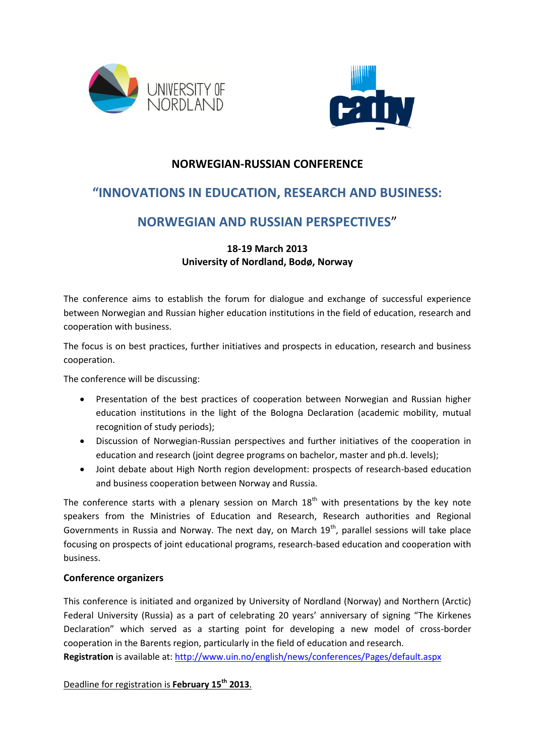



### **NORWEGIAN-RUSSIAN CONFERENCE**

# **"INNOVATIONS IN EDUCATION, RESEARCH AND BUSINESS:**

## **NORWEGIAN AND RUSSIAN PERSPECTIVES**"

#### **18-19 March 2013 University of Nordland, Bodø, Norway**

The conference aims to establish the forum for dialogue and exchange of successful experience between Norwegian and Russian higher education institutions in the field of education, research and cooperation with business.

The focus is on best practices, further initiatives and prospects in education, research and business cooperation.

The conference will be discussing:

- Presentation of the best practices of cooperation between Norwegian and Russian higher education institutions in the light of the Bologna Declaration (academic mobility, mutual recognition of study periods);
- Discussion of Norwegian-Russian perspectives and further initiatives of the cooperation in education and research (joint degree programs on bachelor, master and ph.d. levels);
- Joint debate about High North region development: prospects of research-based education and business cooperation between Norway and Russia.

The conference starts with a plenary session on March  $18<sup>th</sup>$  with presentations by the key note speakers from the Ministries of Education and Research, Research authorities and Regional Governments in Russia and Norway. The next day, on March  $19<sup>th</sup>$ , parallel sessions will take place focusing on prospects of joint educational programs, research-based education and cooperation with business.

#### **Conference organizers**

This conference is initiated and organized by University of Nordland (Norway) and Northern (Arctic) Federal University (Russia) as a part of celebrating 20 years' anniversary of signing "The Kirkenes Declaration" which served as a starting point for developing a new model of cross-border cooperation in the Barents region, particularly in the field of education and research.

**Registration** is available at: <http://www.uin.no/english/news/conferences/Pages/default.aspx>

Deadline for registration is **February 15th 2013**.